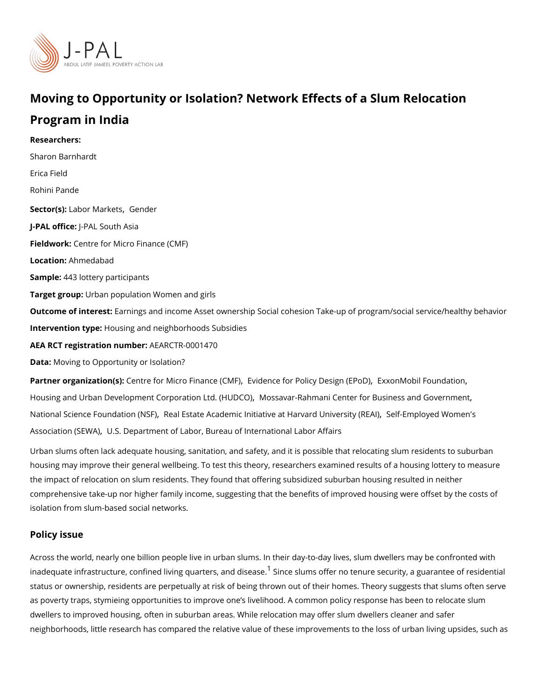## Moving to Opportunity or Isolation? Network Effects of a Slu Program in India

Researchers: [Sharon Barn](https://www.povertyactionlab.org/person/barnhardt)hardt [Erica F](https://www.povertyactionlab.org/person/field)ield [Rohini P](https://www.povertyactionlab.org/person/pande)ande Sector(Lsabor Mark@esnder J-PAL of tlicReal South Asia Fieldwoßtentre for Micro Finance (CMF) Locatio Ahmedabad Sample4:43 lottery participants Target groupban population Women and girls Outcome of inte Eastings and income Asset ownership Social cohesion Take-up of program, Intervention thousing and neighborhoods Subsidies AEA RCT registration ArEuAnRbCeTR-0001470 Data[Moving to Opportunity o](https://doi.org/10.3886/E113659V1)r Isolation? Partner organizatCoem (tst): for Micro Finance edeCoMeF) for Policy DesEixgxno (nEMPodoDI) Foundation [Housing and Urban Development Corpor](https://www.povertyactionlab.org/partners/housing-and-urban-development-corporation-ltd-hudco)aMossatodar (Relation CaOn) Center for Business and Government [,](https://www.povertyactionlab.org/partners/mossavar-rahmani-center-business-and-government) Montana and Sovernment , Montana , Montana , Montana , Montana , Montana , Montana , Montana , Montana , Montana , Montan

[National Science Foun](https://www.povertyactionlab.org/partners/national-science-foundation-nsf)d&teah ElbitSaffe Academic Initiative at Harv§edftEmnvoelogietol WRoEmAdh's [Association](https://www.povertyactionlab.org/partners/self-employed-womens-association-sewa) (SUE SU.ADepartment of Labor[,](https://www.povertyactionlab.org/partners/self-employed-womens-association-sewa) Bureau of International Labor Affairs

Urban slums often lack adequate housing, sanitation, and safety, and it is possible that r housing may improve their general wellbeing. To test this theory, researchers examined results of a housing me the impact of relocation on slum residents. They found that offering subsidized suburban comprehensive take-up nor higher family income, suggesting that the benefits of improved isolation from slum-based social networks.

## Policy issue

Across the world, nearly one billion people live in urban slums. In their day-to-day lives, inadequate infrastructure, confined living  ${}^1\!q\!\!\; \mathsf{Q}$  ${}^1\!q\!\!\; \mathsf{Q}$  ${}^1\!q\!\!\; \mathsf{Q}$  and the same offer and  $\!$  tenure security, a guaranteers of  $\!$ status or ownership, residents are perpetually at risk of being thrown out of their homes. as poverty traps, stymieing opportunities to improve one s livelihood. A common policy re dwellers to improved housing, often in suburban areas. While relocation may offer slum d neighborhoods, little research has compared the relative value of these improvements to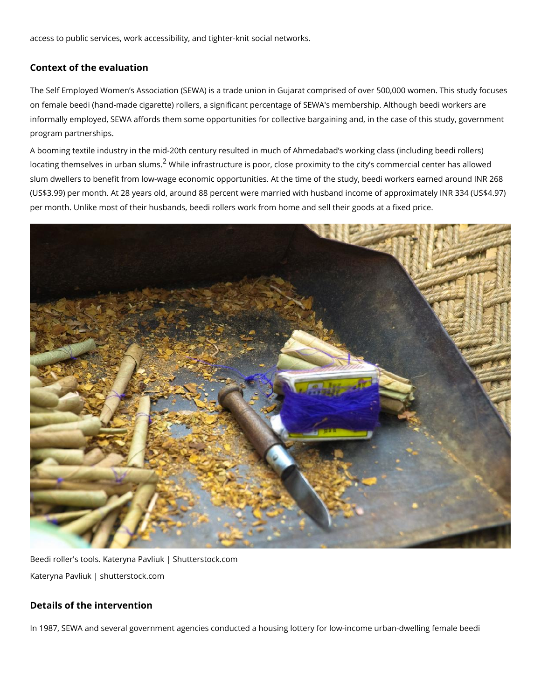access to public services, work accessibility, and tighter-knit social networks.

Context of the evaluation

The Self Employed Women s Association (SEWA) is a trade union in Gujarat comprised of on female beedi (hand-made cigarette) rollers, a significant percentage of SEWA's membe informally employed, SEWA affords them some opportunities for collective bargaining and program partnerships.

A booming textile industry in the mid-20th century resulted in much of Ahmedabad s worki locating themselves in  $\widetilde{\text{dr}}$  while liumins astructure is poor, close proximity to the city s commer slum dwellers to benefit from low-wage economic opportunities. At the time of the study, (US\$3.99) per month. At 28 years old, around 88 percent were married with husband incor per month. Unlike most of their husbands, beedi rollers work from home and sell their god

Beedi roller's tools. Kateryna Pavliuk | Shutterstock.com Kateryna Pavliuk | shutterstock.com

Details of the intervention

In 1987, SEWA and several government agencies conducted a housing lottery for low-inco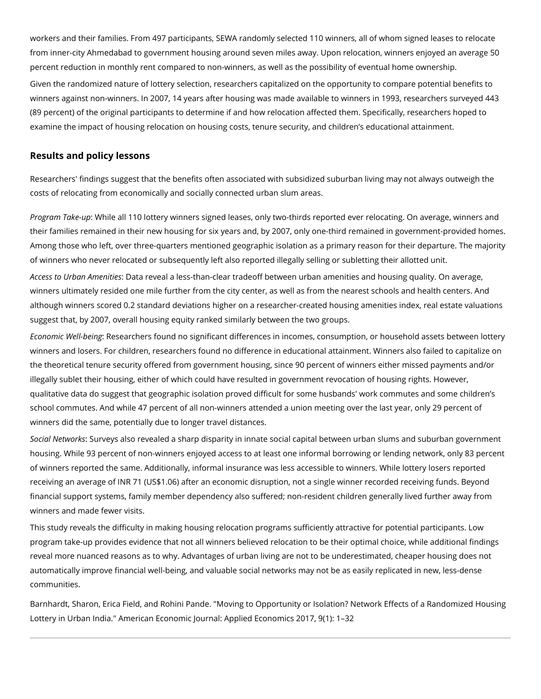workers and their families. From 497 participants, SEWA randomly selected 110 winners, all of whom signed leases to relocate from inner-city Ahmedabad to government housing around seven miles away. Upon relocation, winners enjoyed an average 50 percent reduction in monthly rent compared to non-winners, as well as the possibility of eventual home ownership. Given the randomized nature of lottery selection, researchers capitalized on the opportunity to compare potential benefits to winners against non-winners. In 2007, 14 years after housing was made available to winners in 1993, researchers surveyed 443 (89 percent) of the original participants to determine if and how relocation affected them. Specifically, researchers hoped to examine the impact of housing relocation on housing costs, tenure security, and children's educational attainment.

## **Results and policy lessons**

Researchers' findings suggest that the benefits often associated with subsidized suburban living may not always outweigh the costs of relocating from economically and socially connected urban slum areas.

*Program Take-up*: While all 110 lottery winners signed leases, only two-thirds reported ever relocating. On average, winners and their families remained in their new housing for six years and, by 2007, only one-third remained in government-provided homes. Among those who left, over three-quarters mentioned geographic isolation as a primary reason for their departure. The majority of winners who never relocated or subsequently left also reported illegally selling or subletting their allotted unit.

*Access to Urban Amenities*: Data reveal a less-than-clear tradeoff between urban amenities and housing quality. On average, winners ultimately resided one mile further from the city center, as well as from the nearest schools and health centers. And although winners scored 0.2 standard deviations higher on a researcher-created housing amenities index, real estate valuations suggest that, by 2007, overall housing equity ranked similarly between the two groups.

*Economic Well-being*: Researchers found no significant differences in incomes, consumption, or household assets between lottery winners and losers. For children, researchers found no difference in educational attainment. Winners also failed to capitalize on the theoretical tenure security offered from government housing, since 90 percent of winners either missed payments and/or illegally sublet their housing, either of which could have resulted in government revocation of housing rights. However, qualitative data do suggest that geographic isolation proved difficult for some husbands' work commutes and some children's school commutes. And while 47 percent of all non-winners attended a union meeting over the last year, only 29 percent of winners did the same, potentially due to longer travel distances.

*Social Networks*: Surveys also revealed a sharp disparity in innate social capital between urban slums and suburban government housing. While 93 percent of non-winners enjoyed access to at least one informal borrowing or lending network, only 83 percent of winners reported the same. Additionally, informal insurance was less accessible to winners. While lottery losers reported receiving an average of INR 71 (US\$1.06) after an economic disruption, not a single winner recorded receiving funds. Beyond financial support systems, family member dependency also suffered; non-resident children generally lived further away from winners and made fewer visits.

This study reveals the difficulty in making housing relocation programs sufficiently attractive for potential participants. Low program take-up provides evidence that not all winners believed relocation to be their optimal choice, while additional findings reveal more nuanced reasons as to why. Advantages of urban living are not to be underestimated, cheaper housing does not automatically improve financial well-being, and valuable social networks may not be as easily replicated in new, less-dense communities.

Barnhardt, Sharon, Erica Field, and Rohini Pande. "Moving to Opportunity or Isolation? Network Effects of a Randomized Housing Lottery in Urban India." American Economic Journal: Applied Economics 2017, 9(1): 1–32